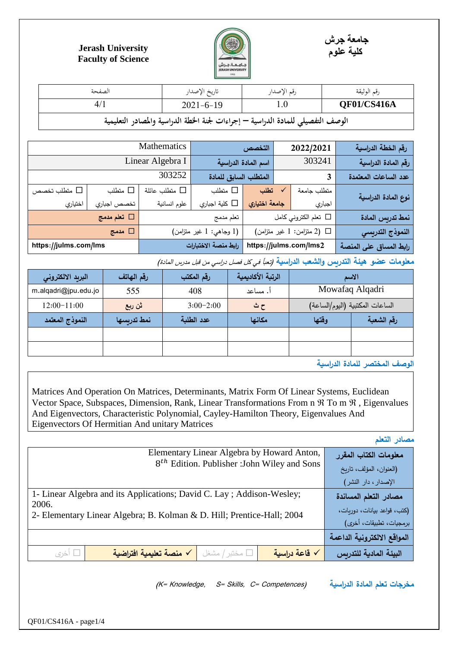



## **Jerash University Faculty of Science**

| الصفحة                                                                          | تاريخ الإصدار   | رقم الإصدار      | رقم الوثيقة |  |
|---------------------------------------------------------------------------------|-----------------|------------------|-------------|--|
| 4/1                                                                             | $2021 - 6 - 19$ | 1.0 <sub>1</sub> | QF01/CS416A |  |
| الوصف التفصيلي للمادة الدراسية — إجراءات لجنة الخطة الدراسية والمصادر التعليمية |                 |                  |             |  |

| رقم الخطة الدراسية     | 2022/2021                      | التخصص                |                         | Mathematics        |                       |                   |
|------------------------|--------------------------------|-----------------------|-------------------------|--------------------|-----------------------|-------------------|
| رقم المادة الدراسية    | 303241                         | اسم المادة الدراسية   |                         | Linear Algebra I   |                       |                   |
| عدد الساعات المعتمدة   | 3                              | المتطلب السابق للمادة |                         | 303252             |                       |                   |
| نوع المادة الدراسية    | متطلب جامعة                    | تطلب                  | متطلب $\Box$            | متطلب عائلة $\Box$ | □ متطلب               | متطلب تخصص $\Box$ |
|                        | اجباري                         | جامعة اختياري         | □ كلية اجباري           | علوم انسانية       | تخصص اجباري           | اختياري           |
| نمط تدريس المادة       | تعلم الكتروني كامل $\Box$      |                       | تعلم مدمج               |                    | □ تعلم مدمج           |                   |
| النموذج التدريسي       | $($ ا (2 متزامن: 1 غير متزامن) |                       | (1 وجاهي: 1 غير متزامن) | $\Box$ مدمج        |                       |                   |
| رابط المساق على المنصة | https://julms.com/lms2         |                       | رابط منصة الاختبارات    |                    | https://julms.com/lms |                   |

معلومات عضو هيئة التدريس والشعب الدراسية *(تعبأ في كل فصل دراسي من قبل مدرس المادة)* 

| البريد الالكتروني    | رقم الهاتف   | رقم المكتب  | الرتبة الأكاديمية | الاسم |                                 |
|----------------------|--------------|-------------|-------------------|-------|---------------------------------|
| m.alqadri@jpu.edu.jo | 555          | 408         | أ. مساعد          |       | Mowafaq Alqadri                 |
| $12:00-11:00$        | ثن ربع       | $3:00-2:00$ | ح ث               |       | الساعات المكتبية (اليوم/الساعة) |
| النموذج المعتمد      | أنمط تدربسها | عدد الطلبة  | مكانها            | وقتها | رقم الشعبة                      |
|                      |              |             |                   |       |                                 |
|                      |              |             |                   |       |                                 |

**الوصف المختصر للمادة الدراسية**

Matrices And Operation On Matrices, Determinants, Matrix Form Of Linear Systems, Euclidean Vector Space, Subspaces, Dimension, Rank, Linear Transformations From n  $\mathfrak{R}$  To m  $\mathfrak{R}$ , Eigenvalues And Eigenvectors, Characteristic Polynomial, Cayley-Hamilton Theory, Eigenvalues And Eigenvectors Of Hermitian And unitary Matrices

**مصادر التعلم**

| Elementary Linear Algebra by Howard Anton,                                      | معلومات الكتاب المقرر       |
|---------------------------------------------------------------------------------|-----------------------------|
| $8th$ Edition. Publisher : John Wiley and Sons                                  | (العنوان، المؤلف، تاريخ     |
|                                                                                 | الإصدار، دار النشر)         |
| 1- Linear Algebra and its Applications; David C. Lay; Addison-Wesley;           | مصادر التعلم المساندة       |
| 2006.<br>2- Elementary Linear Algebra; B. Kolman & D. Hill; Prentice-Hall; 2004 | (كتب، قواعد بيانات، دوريات، |
|                                                                                 | برمجيات، تطبيقات، أخرى)     |
|                                                                                 | المواقع الالكترونية الداعمة |
| √ منصة تعليمية افتراضية<br>√ قاعة دراسية<br>مختبر / مشغل $\square$<br>□ أخري    | البيئة المادية للتدريس      |

(K= Knowledge, S= Skills, C= Competences) **الدراسية المادة تعلم مخرجات**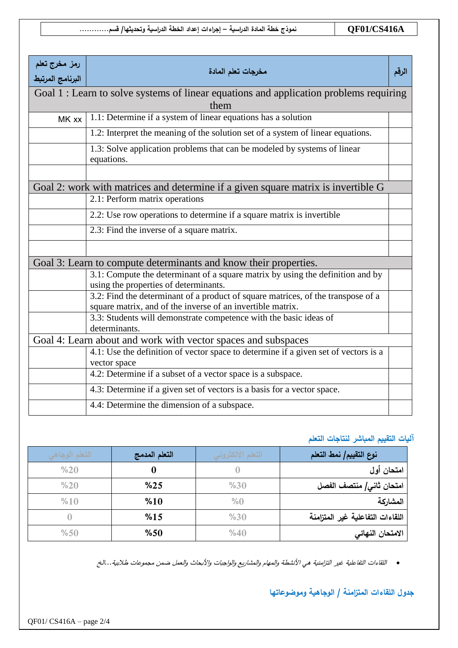| رمز مخرج تعلم<br>البرنامج المرتبط                                                              | مخرجات تعلم المادة                                                                                                                             | الرقم |  |  |
|------------------------------------------------------------------------------------------------|------------------------------------------------------------------------------------------------------------------------------------------------|-------|--|--|
| Goal 1 : Learn to solve systems of linear equations and application problems requiring<br>them |                                                                                                                                                |       |  |  |
| MK xx                                                                                          | 1.1: Determine if a system of linear equations has a solution                                                                                  |       |  |  |
|                                                                                                | 1.2: Interpret the meaning of the solution set of a system of linear equations.                                                                |       |  |  |
|                                                                                                | 1.3: Solve application problems that can be modeled by systems of linear<br>equations.                                                         |       |  |  |
|                                                                                                |                                                                                                                                                |       |  |  |
|                                                                                                | Goal 2: work with matrices and determine if a given square matrix is invertible G                                                              |       |  |  |
|                                                                                                | 2.1: Perform matrix operations                                                                                                                 |       |  |  |
|                                                                                                | 2.2: Use row operations to determine if a square matrix is invertible                                                                          |       |  |  |
|                                                                                                | 2.3: Find the inverse of a square matrix.                                                                                                      |       |  |  |
|                                                                                                |                                                                                                                                                |       |  |  |
|                                                                                                | Goal 3: Learn to compute determinants and know their properties.                                                                               |       |  |  |
|                                                                                                | 3.1: Compute the determinant of a square matrix by using the definition and by<br>using the properties of determinants.                        |       |  |  |
|                                                                                                | 3.2: Find the determinant of a product of square matrices, of the transpose of a<br>square matrix, and of the inverse of an invertible matrix. |       |  |  |
|                                                                                                | 3.3: Students will demonstrate competence with the basic ideas of<br>determinants.                                                             |       |  |  |
|                                                                                                | Goal 4: Learn about and work with vector spaces and subspaces                                                                                  |       |  |  |
|                                                                                                | 4.1: Use the definition of vector space to determine if a given set of vectors is a<br>vector space                                            |       |  |  |
|                                                                                                | 4.2: Determine if a subset of a vector space is a subspace.                                                                                    |       |  |  |
|                                                                                                | 4.3: Determine if a given set of vectors is a basis for a vector space.                                                                        |       |  |  |
|                                                                                                | 4.4: Determine the dimension of a subspace.                                                                                                    |       |  |  |

## **آليات التقييم المباشر لنتاجات التعلم**

| التعلم الوجاهي | التعلم المدمج | التعلم الالكتروني | نوع التقييم/ نمط التعلم          |
|----------------|---------------|-------------------|----------------------------------|
| %20            | 0             |                   | امتحان أول                       |
| %20            | %25           | %30               | امتحان ثاني/ منتصف الفصل         |
| %10            | %10           | $\%0$             | المشاركة                         |
|                | %15           | %30               | اللقاءات التفاعلية غير المتزامنة |
| %50            | %50           | %40               | الامتحان النهائى                 |

اللقاءات التفاعلية غير التزامنية هي األنشطة والمهام والمشاريع والواجبات واألبحاث والعمل ضمن مجموعات طالبية...الخ

## **جدول اللقاءات المتزامنة / الوجاهية وموضوعاتها**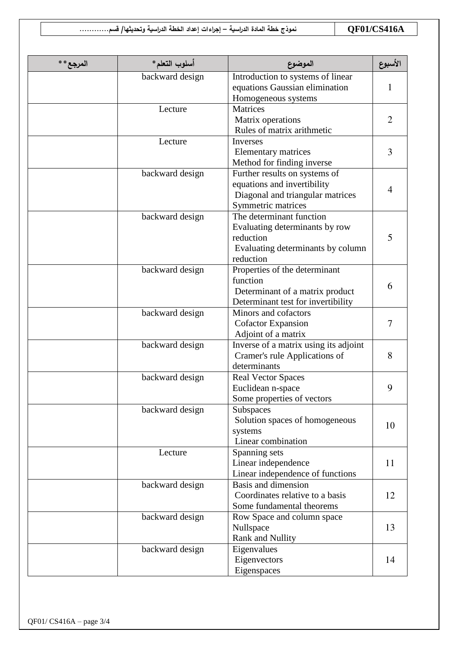**A416CS01/QF نموذج خطة المادة الدراسية – إجراءات إعداد الخطة الدراسية و تحديثها/ قسم............**

| المرجع** | أسلوب التعلم*   | الموضوع                                                                                                                   | الأسبوع |
|----------|-----------------|---------------------------------------------------------------------------------------------------------------------------|---------|
|          | backward design | Introduction to systems of linear<br>equations Gaussian elimination<br>Homogeneous systems                                | 1       |
|          | Lecture         | Matrices<br>Matrix operations<br>Rules of matrix arithmetic                                                               | 2       |
|          | Lecture         | <b>Inverses</b><br>Elementary matrices<br>Method for finding inverse                                                      | 3       |
|          | backward design | Further results on systems of<br>equations and invertibility<br>Diagonal and triangular matrices<br>Symmetric matrices    | 4       |
|          | backward design | The determinant function<br>Evaluating determinants by row<br>reduction<br>Evaluating determinants by column<br>reduction | 5       |
|          | backward design | Properties of the determinant<br>function<br>Determinant of a matrix product<br>Determinant test for invertibility        | 6       |
|          | backward design | Minors and cofactors<br><b>Cofactor Expansion</b><br>Adjoint of a matrix                                                  | 7       |
|          | backward design | Inverse of a matrix using its adjoint<br>Cramer's rule Applications of<br>determinants                                    | 8       |
|          | backward design | <b>Real Vector Spaces</b><br>Euclidean n-space<br>Some properties of vectors                                              | 9       |
|          | backward design | Subspaces<br>Solution spaces of homogeneous<br>systems<br>Linear combination                                              | 10      |
|          | Lecture         | Spanning sets<br>Linear independence<br>Linear independence of functions                                                  | 11      |
|          | backward design | Basis and dimension<br>Coordinates relative to a basis<br>Some fundamental theorems                                       | 12      |
|          | backward design | Row Space and column space<br>Nullspace<br>Rank and Nullity                                                               | 13      |
|          | backward design | Eigenvalues<br>Eigenvectors<br>Eigenspaces                                                                                | 14      |